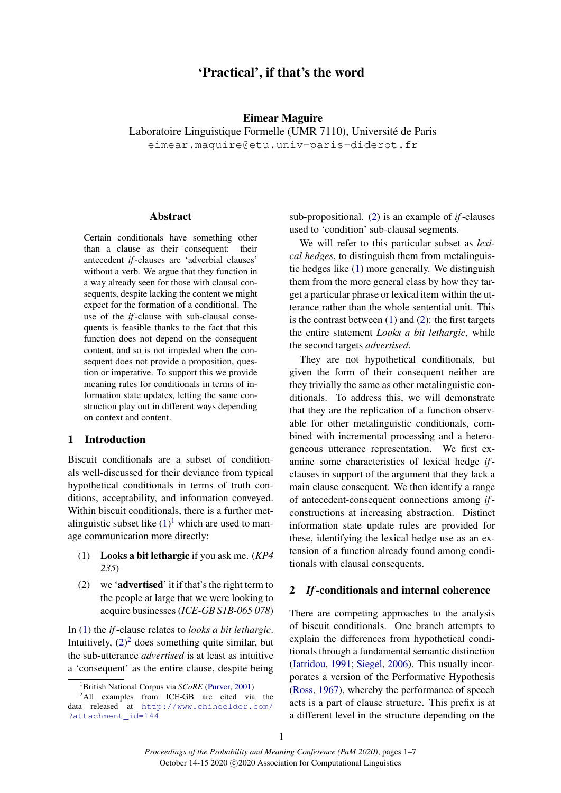# 'Practical', if that's the word

#### Eimear Maguire

Laboratoire Linguistique Formelle (UMR 7110), Université de Paris

eimear.maguire@etu.univ-paris-diderot.fr

# Abstract

Certain conditionals have something other than a clause as their consequent: their antecedent *if*-clauses are 'adverbial clauses' without a verb. We argue that they function in a way already seen for those with clausal consequents, despite lacking the content we might expect for the formation of a conditional. The use of the *if*-clause with sub-clausal consequents is feasible thanks to the fact that this function does not depend on the consequent content, and so is not impeded when the consequent does not provide a proposition, question or imperative. To support this we provide meaning rules for conditionals in terms of information state updates, letting the same construction play out in different ways depending on context and content.

# 1 Introduction

Biscuit conditionals are a subset of conditionals well-discussed for their deviance from typical hypothetical conditionals in terms of truth conditions, acceptability, and information conveyed. Within biscuit conditionals, there is a further metalinguistic subset like  $(1)^1$  $(1)^1$  $(1)^1$  which are used to manage communication more directly:

- <span id="page-0-0"></span>(1) Looks a bit lethargic if you ask me. (*KP4 235*)
- <span id="page-0-2"></span>(2) we 'advertised' it if that's the right term to the people at large that we were looking to acquire businesses (*ICE-GB S1B-065 078*)

In [\(1\)](#page-0-0) the *if*-clause relates to *looks a bit lethargic*. Intuitively,  $(2)^2$  $(2)^2$  $(2)^2$  does something quite similar, but the sub-utterance *advertised* is at least as intuitive a 'consequent' as the entire clause, despite being

sub-propositional. [\(2\)](#page-0-2) is an example of *if*-clauses used to 'condition' sub-clausal segments.

We will refer to this particular subset as *lexical hedges*, to distinguish them from metalinguistic hedges like [\(1\)](#page-0-0) more generally. We distinguish them from the more general class by how they target a particular phrase or lexical item within the utterance rather than the whole sentential unit. This is the contrast between  $(1)$  and  $(2)$ : the first targets the entire statement *Looks a bit lethargic*, while the second targets *advertised*.

They are not hypothetical conditionals, but given the form of their consequent neither are they trivially the same as other metalinguistic conditionals. To address this, we will demonstrate that they are the replication of a function observable for other metalinguistic conditionals, combined with incremental processing and a heterogeneous utterance representation. We first examine some characteristics of lexical hedge *if*clauses in support of the argument that they lack a main clause consequent. We then identify a range of antecedent-consequent connections among *if*constructions at increasing abstraction. Distinct information state update rules are provided for these, identifying the lexical hedge use as an extension of a function already found among conditionals with clausal consequents.

### 2 *If*-conditionals and internal coherence

There are competing approaches to the analysis of biscuit conditionals. One branch attempts to explain the differences from hypothetical conditionals through a fundamental semantic distinction [\(Iatridou,](#page-6-1) [1991;](#page-6-1) [Siegel,](#page-6-2) [2006\)](#page-6-2). This usually incorporates a version of the Performative Hypothesis [\(Ross,](#page-6-3) [1967\)](#page-6-3), whereby the performance of speech acts is a part of clause structure. This prefix is at a different level in the structure depending on the

<span id="page-0-3"></span><span id="page-0-1"></span><sup>1</sup>British National Corpus via *SCoRE* [\(Purver,](#page-6-0) [2001\)](#page-6-0)

<sup>&</sup>lt;sup>2</sup>All examples from ICE-GB are cited via the data released at [http://www.chiheelder.com/](http://www.chiheelder.com/?attachment_id=144) [?attachment\\_id=144](http://www.chiheelder.com/?attachment_id=144)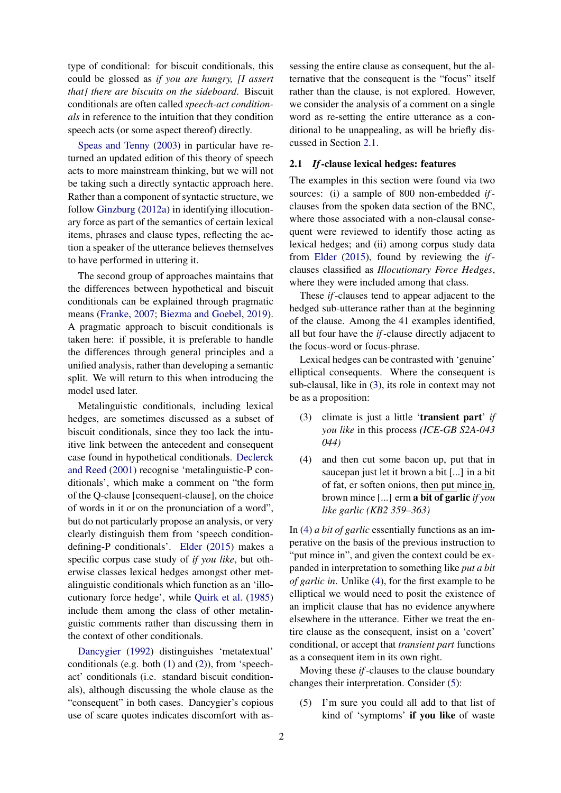type of conditional: for biscuit conditionals, this could be glossed as *if you are hungry, [I assert that] there are biscuits on the sideboard*. Biscuit conditionals are often called *speech-act conditionals* in reference to the intuition that they condition speech acts (or some aspect thereof) directly.

[Speas and Tenny](#page-6-4) [\(2003\)](#page-6-4) in particular have returned an updated edition of this theory of speech acts to more mainstream thinking, but we will not be taking such a directly syntactic approach here. Rather than a component of syntactic structure, we follow [Ginzburg](#page-6-5) [\(2012a\)](#page-6-5) in identifying illocutionary force as part of the semantics of certain lexical items, phrases and clause types, reflecting the action a speaker of the utterance believes themselves to have performed in uttering it.

The second group of approaches maintains that the differences between hypothetical and biscuit conditionals can be explained through pragmatic means [\(Franke,](#page-6-6) [2007;](#page-6-6) [Biezma and Goebel,](#page-6-7) [2019\)](#page-6-7). A pragmatic approach to biscuit conditionals is taken here: if possible, it is preferable to handle the differences through general principles and a unified analysis, rather than developing a semantic split. We will return to this when introducing the model used later.

Metalinguistic conditionals, including lexical hedges, are sometimes discussed as a subset of biscuit conditionals, since they too lack the intuitive link between the antecedent and consequent case found in hypothetical conditionals. [Declerck](#page-6-8) [and Reed](#page-6-8) [\(2001\)](#page-6-8) recognise 'metalinguistic-P conditionals', which make a comment on "the form of the Q-clause [consequent-clause], on the choice of words in it or on the pronunciation of a word", but do not particularly propose an analysis, or very clearly distinguish them from 'speech conditiondefining-P conditionals'. [Elder](#page-6-9) [\(2015\)](#page-6-9) makes a specific corpus case study of *if you like*, but otherwise classes lexical hedges amongst other metalinguistic conditionals which function as an 'illocutionary force hedge', while [Quirk et al.](#page-6-10) [\(1985\)](#page-6-10) include them among the class of other metalinguistic comments rather than discussing them in the context of other conditionals.

[Dancygier](#page-6-11) [\(1992\)](#page-6-11) distinguishes 'metatextual' conditionals (e.g. both [\(1\)](#page-0-0) and [\(2\)](#page-0-2)), from 'speechact' conditionals (i.e. standard biscuit conditionals), although discussing the whole clause as the "consequent" in both cases. Dancygier's copious use of scare quotes indicates discomfort with assessing the entire clause as consequent, but the alternative that the consequent is the "focus" itself rather than the clause, is not explored. However, we consider the analysis of a comment on a single word as re-setting the entire utterance as a conditional to be unappealing, as will be briefly discussed in Section [2.1.](#page-1-0)

#### <span id="page-1-0"></span>2.1 *If*-clause lexical hedges: features

The examples in this section were found via two sources: (i) a sample of 800 non-embedded *if*clauses from the spoken data section of the BNC, where those associated with a non-clausal consequent were reviewed to identify those acting as lexical hedges; and (ii) among corpus study data from [Elder](#page-6-9) [\(2015\)](#page-6-9), found by reviewing the *if*clauses classified as *Illocutionary Force Hedges*, where they were included among that class.

These *if*-clauses tend to appear adjacent to the hedged sub-utterance rather than at the beginning of the clause. Among the 41 examples identified, all but four have the *if*-clause directly adjacent to the focus-word or focus-phrase.

Lexical hedges can be contrasted with 'genuine' elliptical consequents. Where the consequent is sub-clausal, like in [\(3\)](#page-1-1), its role in context may not be as a proposition:

- <span id="page-1-1"></span>(3) climate is just a little 'transient part' *if you like* in this process *(ICE-GB S2A-043 044)*
- <span id="page-1-2"></span>(4) and then cut some bacon up, put that in saucepan just let it brown a bit [...] in a bit of fat, er soften onions, then put mince in, brown mince [...] erm a bit of garlic *if you like garlic (KB2 359–363)*

In [\(4\)](#page-1-2) *a bit of garlic* essentially functions as an imperative on the basis of the previous instruction to "put mince in", and given the context could be expanded in interpretation to something like *put a bit of garlic in*. Unlike [\(4\)](#page-1-2), for the first example to be elliptical we would need to posit the existence of an implicit clause that has no evidence anywhere elsewhere in the utterance. Either we treat the entire clause as the consequent, insist on a 'covert' conditional, or accept that *transient part* functions as a consequent item in its own right.

Moving these *if*-clauses to the clause boundary changes their interpretation. Consider [\(5\)](#page-1-3):

<span id="page-1-3"></span>(5) I'm sure you could all add to that list of kind of 'symptoms' if you like of waste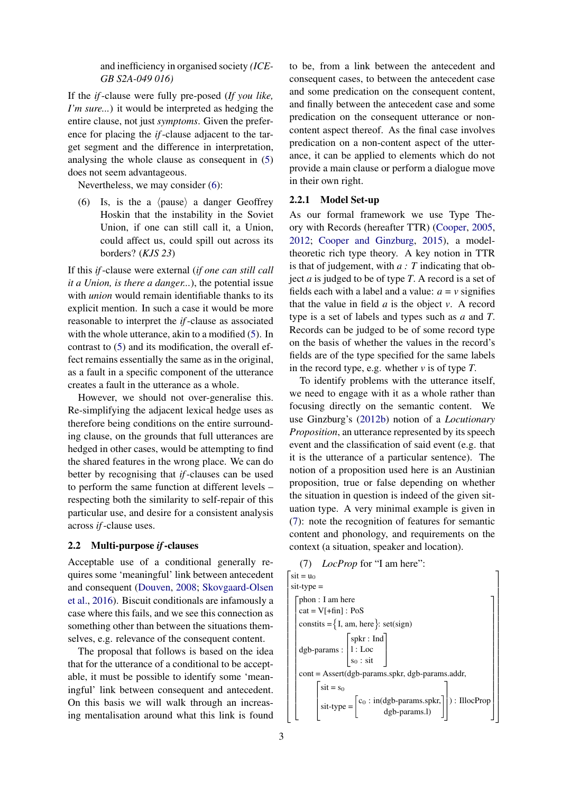and inefficiency in organised society *(ICE-GB S2A-049 016)*

If the *if*-clause were fully pre-posed (*If you like, I'm sure...*) it would be interpreted as hedging the entire clause, not just *symptoms*. Given the preference for placing the *if*-clause adjacent to the target segment and the difference in interpretation, analysing the whole clause as consequent in [\(5\)](#page-1-3) does not seem advantageous.

Nevertheless, we may consider [\(6\)](#page-2-0):

<span id="page-2-0"></span>(6) Is, is the a  $\langle$  pause $\rangle$  a danger Geoffrey Hoskin that the instability in the Soviet Union, if one can still call it, a Union, could affect us, could spill out across its borders? (*KJS 23*)

If this *if*-clause were external (*if one can still call it a Union, is there a danger...*), the potential issue with *union* would remain identifiable thanks to its explicit mention. In such a case it would be more reasonable to interpret the *if*-clause as associated with the whole utterance, akin to a modified [\(5\)](#page-1-3). In contrast to [\(5\)](#page-1-3) and its modification, the overall effect remains essentially the same as in the original, as a fault in a specific component of the utterance creates a fault in the utterance as a whole.

However, we should not over-generalise this. Re-simplifying the adjacent lexical hedge uses as therefore being conditions on the entire surrounding clause, on the grounds that full utterances are hedged in other cases, would be attempting to find the shared features in the wrong place. We can do better by recognising that *if*-clauses can be used to perform the same function at different levels – respecting both the similarity to self-repair of this particular use, and desire for a consistent analysis across *if*-clause uses.

## <span id="page-2-2"></span>2.2 Multi-purpose *if*-clauses

Acceptable use of a conditional generally requires some 'meaningful' link between antecedent and consequent [\(Douven,](#page-6-12) [2008;](#page-6-12) [Skovgaard-Olsen](#page-6-13) [et al.,](#page-6-13) [2016\)](#page-6-13). Biscuit conditionals are infamously a case where this fails, and we see this connection as something other than between the situations themselves, e.g. relevance of the consequent content.

The proposal that follows is based on the idea that for the utterance of a conditional to be acceptable, it must be possible to identify some 'meaningful' link between consequent and antecedent. On this basis we will walk through an increasing mentalisation around what this link is found

to be, from a link between the antecedent and consequent cases, to between the antecedent case and some predication on the consequent content, and finally between the antecedent case and some predication on the consequent utterance or noncontent aspect thereof. As the final case involves predication on a non-content aspect of the utterance, it can be applied to elements which do not provide a main clause or perform a dialogue move in their own right.

#### 2.2.1 Model Set-up

As our formal framework we use Type Theory with Records (hereafter TTR) [\(Cooper,](#page-6-14) [2005,](#page-6-14) [2012;](#page-6-15) [Cooper and Ginzburg,](#page-6-16) [2015\)](#page-6-16), a modeltheoretic rich type theory. A key notion in TTR is that of judgement, with *a : T* indicating that object *a* is judged to be of type *T*. A record is a set of fields each with a label and a value:  $a = v$  signifies that the value in field  $a$  is the object  $v$ . A record type is a set of labels and types such as *a* and *T*. Records can be judged to be of some record type on the basis of whether the values in the record's fields are of the type specified for the same labels in the record type, e.g. whether *v* is of type *T*.

To identify problems with the utterance itself, we need to engage with it as a whole rather than focusing directly on the semantic content. We use Ginzburg's [\(2012b\)](#page-6-17) notion of a *Locutionary Proposition*, an utterance represented by its speech event and the classification of said event (e.g. that it is the utterance of a particular sentence). The notion of a proposition used here is an Austinian proposition, true or false depending on whether the situation in question is indeed of the given situation type. A very minimal example is given in [\(7\)](#page-2-1): note the recognition of features for semantic content and phonology, and requirements on the context (a situation, speaker and location).

## <span id="page-2-1"></span>(7) *LocProp* for "I am here":

| $\text{sit} = \text{u}_0$                                                                                             |
|-----------------------------------------------------------------------------------------------------------------------|
| $s$ it-type $=$                                                                                                       |
| $\lceil$ phon : I am here                                                                                             |
| $cat = V[ + fin] : PoS$                                                                                               |
| constits = $\{I, am, here\}$ : set(sign)                                                                              |
| dgb-params : $\begin{bmatrix} \text{spkr} : \text{Ind} \\ 1 : \text{Loc} \\ \text{s}_0 : \text{sit} \end{bmatrix}$    |
| $\text{cont} = \text{assert}(dgb\text{-}params.\text{spkr}, \text{dgb}\text{-}params.\text{addr},$                    |
| $\text{si} = \text{s}_0$                                                                                              |
| sit-type = $\begin{bmatrix} c_0 : in(dgb\text{-}params.\text{spkr.}) \\ \text{dgb-}params. \end{bmatrix}$ : IllocProp |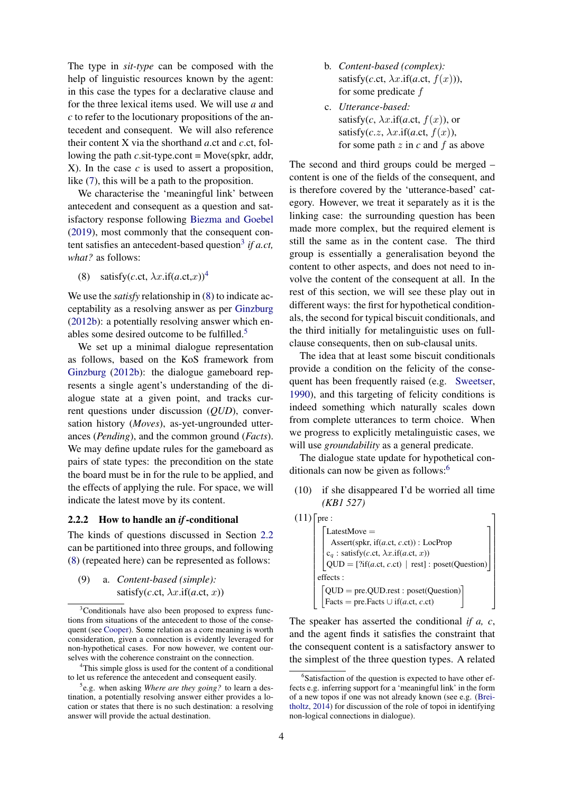The type in *sit-type* can be composed with the help of linguistic resources known by the agent: in this case the types for a declarative clause and for the three lexical items used. We will use *a* and *c* to refer to the locutionary propositions of the antecedent and consequent. We will also reference their content X via the shorthand *a*.ct and *c*.ct, following the path *c*.sit-type.cont = Move(spkr, addr, X). In the case *c* is used to assert a proposition, like [\(7\)](#page-2-1), this will be a path to the proposition.

We characterise the 'meaningful link' between antecedent and consequent as a question and satisfactory response following [Biezma and Goebel](#page-6-7) [\(2019\)](#page-6-7), most commonly that the consequent con-tent satisfies an antecedent-based question<sup>[3](#page-3-0)</sup> if a.ct, *what?* as follows:

<span id="page-3-2"></span>(8) satisfy(*c*.ct,  $\lambda x$ .if(*a*.ct, *x*))<sup>[4](#page-3-1)</sup>

We use the *satisfy* relationship in [\(8\)](#page-3-2) to indicate acceptability as a resolving answer as per [Ginzburg](#page-6-17) [\(2012b\)](#page-6-17): a potentially resolving answer which en-ables some desired outcome to be fulfilled.<sup>[5](#page-3-3)</sup>

We set up a minimal dialogue representation as follows, based on the KoS framework from [Ginzburg](#page-6-17) [\(2012b\)](#page-6-17): the dialogue gameboard represents a single agent's understanding of the dialogue state at a given point, and tracks current questions under discussion (*QUD*), conversation history (*Moves*), as-yet-ungrounded utterances (*Pending*), and the common ground (*Facts*). We may define update rules for the gameboard as pairs of state types: the precondition on the state the board must be in for the rule to be applied, and the effects of applying the rule. For space, we will indicate the latest move by its content.

#### 2.2.2 How to handle an *if*-conditional

The kinds of questions discussed in Section [2.2](#page-2-2) can be partitioned into three groups, and following [\(8\)](#page-3-2) (repeated here) can be represented as follows:

<span id="page-3-5"></span>(9) a. *Content-based (simple):* satisfy(*c*.ct,  $\lambda x$ .if(*a*.ct, *x*))

<span id="page-3-1"></span><sup>4</sup>This simple gloss is used for the content of a conditional to let us reference the antecedent and consequent easily.

- b. *Content-based (complex):* satisfy(*c*.ct,  $\lambda x$ .if(*a*.ct,  $f(x)$ )), for some predicate f
- c. *Utterance-based:* satisfy( $c$ ,  $\lambda x$ .if( $a$ .ct,  $f(x)$ ), or satisfy( $c.z$ ,  $\lambda x$ .if( $a$ .ct,  $f(x)$ ), for some path  $z$  in  $c$  and  $f$  as above

The second and third groups could be merged – content is one of the fields of the consequent, and is therefore covered by the 'utterance-based' category. However, we treat it separately as it is the linking case: the surrounding question has been made more complex, but the required element is still the same as in the content case. The third group is essentially a generalisation beyond the content to other aspects, and does not need to involve the content of the consequent at all. In the rest of this section, we will see these play out in different ways: the first for hypothetical conditionals, the second for typical biscuit conditionals, and the third initially for metalinguistic uses on fullclause consequents, then on sub-clausal units.

The idea that at least some biscuit conditionals provide a condition on the felicity of the consequent has been frequently raised (e.g. [Sweetser,](#page-6-19) [1990\)](#page-6-19), and this targeting of felicity conditions is indeed something which naturally scales down from complete utterances to term choice. When we progress to explicitly metalinguistic cases, we will use *groundability* as a general predicate.

The dialogue state update for hypothetical conditionals can now be given as follows: $<sup>6</sup>$  $<sup>6</sup>$  $<sup>6</sup>$ </sup>

(10) if she disappeared I'd be worried all time *(KB1 527)*

| (11) | pre:                                                                                    |
|------|-----------------------------------------------------------------------------------------|
|      | LatestMove $=$                                                                          |
|      | Assert(spkr, if(a.ct, c.ct)) : LocProp                                                  |
|      | $c_q$ : satisfy( <i>c</i> .ct, $\lambda x$ .if( <i>a.ct, x</i> ))                       |
|      | $QUD = [?if(a.ct, c.ct)   rest] : poset(Question)$                                      |
|      | effects:                                                                                |
|      | $QUD = pre.QUD. rest : poset(Question)$                                                 |
|      | $\overline{\text{Facts}} = \text{pre.Facts} \cup \text{if}(a \text{.ct}, c \text{.ct})$ |

The speaker has asserted the conditional *if a, c*, and the agent finds it satisfies the constraint that the consequent content is a satisfactory answer to the simplest of the three question types. A related

<span id="page-3-0"></span><sup>&</sup>lt;sup>3</sup>Conditionals have also been proposed to express functions from situations of the antecedent to those of the consequent (see [Cooper\)](#page-6-18). Some relation as a core meaning is worth consideration, given a connection is evidently leveraged for non-hypothetical cases. For now however, we content ourselves with the coherence constraint on the connection.

<span id="page-3-3"></span><sup>5</sup> e.g. when asking *Where are they going?* to learn a destination, a potentially resolving answer either provides a location or states that there is no such destination: a resolving answer will provide the actual destination.

<span id="page-3-4"></span><sup>&</sup>lt;sup>6</sup>Satisfaction of the question is expected to have other effects e.g. inferring support for a 'meaningful link' in the form of a new topos if one was not already known (see e.g. [\(Brei](#page-6-20)[tholtz,](#page-6-20) [2014\)](#page-6-20) for discussion of the role of topoi in identifying non-logical connections in dialogue).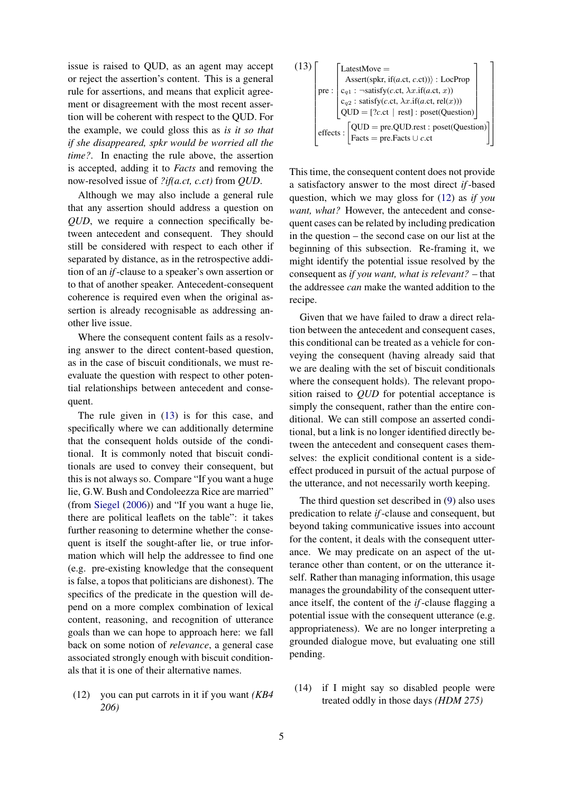issue is raised to QUD, as an agent may accept or reject the assertion's content. This is a general rule for assertions, and means that explicit agreement or disagreement with the most recent assertion will be coherent with respect to the QUD. For the example, we could gloss this as *is it so that if she disappeared, spkr would be worried all the time?*. In enacting the rule above, the assertion is accepted, adding it to *Facts* and removing the now-resolved issue of *?if(a.ct, c.ct)* from *QUD*.

Although we may also include a general rule that any assertion should address a question on *QUD*, we require a connection specifically between antecedent and consequent. They should still be considered with respect to each other if separated by distance, as in the retrospective addition of an *if*-clause to a speaker's own assertion or to that of another speaker. Antecedent-consequent coherence is required even when the original assertion is already recognisable as addressing another live issue.

Where the consequent content fails as a resolving answer to the direct content-based question, as in the case of biscuit conditionals, we must reevaluate the question with respect to other potential relationships between antecedent and consequent.

The rule given in [\(13\)](#page-4-0) is for this case, and specifically where we can additionally determine that the consequent holds outside of the conditional. It is commonly noted that biscuit conditionals are used to convey their consequent, but this is not always so. Compare "If you want a huge lie, G.W. Bush and Condoleezza Rice are married" (from [Siegel](#page-6-2) [\(2006\)](#page-6-2)) and "If you want a huge lie, there are political leaflets on the table": it takes further reasoning to determine whether the consequent is itself the sought-after lie, or true information which will help the addressee to find one (e.g. pre-existing knowledge that the consequent is false, a topos that politicians are dishonest). The specifics of the predicate in the question will depend on a more complex combination of lexical content, reasoning, and recognition of utterance goals than we can hope to approach here: we fall back on some notion of *relevance*, a general case associated strongly enough with biscuit conditionals that it is one of their alternative names.

<span id="page-4-1"></span><span id="page-4-0"></span>(12) you can put carrots in it if you want *(KB4 206)*

(13)  
\n
$$
\begin{bmatrix}\n\text{LatestMove} = \\
\text{Assert(spkr, if}(a.ct, c.ct)) : \text{LocProp} \\
\text{pre : } \begin{bmatrix}\nc_{q1} : \neg \text{satisfy}(c.ct, \lambda x. \text{if}(a.ct, x)) \\
c_{q2} : \text{satisfy}(c.ct, \lambda x. \text{if}(a.ct, rel(x))) \\
\text{QUD} = [?c.ct | rest] : \text{poset}(\text{Question})\n\end{bmatrix}\n\end{bmatrix}
$$
\neffects : 
$$
\begin{bmatrix}\n\text{QUD} = \text{pre.QUD}.\text{rest : poset}(\text{Question}) \\
\text{Facts : } \begin{bmatrix}\n\text{Facts} = \text{pre.Facts} \cup c. \text{ct}\n\end{bmatrix}\n\end{bmatrix}
$$

This time, the consequent content does not provide a satisfactory answer to the most direct *if*-based question, which we may gloss for [\(12\)](#page-4-1) as *if you want, what?* However, the antecedent and consequent cases can be related by including predication in the question – the second case on our list at the beginning of this subsection. Re-framing it, we might identify the potential issue resolved by the consequent as *if you want, what is relevant?* – that the addressee *can* make the wanted addition to the recipe.

Given that we have failed to draw a direct relation between the antecedent and consequent cases, this conditional can be treated as a vehicle for conveying the consequent (having already said that we are dealing with the set of biscuit conditionals where the consequent holds). The relevant proposition raised to *QUD* for potential acceptance is simply the consequent, rather than the entire conditional. We can still compose an asserted conditional, but a link is no longer identified directly between the antecedent and consequent cases themselves: the explicit conditional content is a sideeffect produced in pursuit of the actual purpose of the utterance, and not necessarily worth keeping.

The third question set described in [\(9\)](#page-3-5) also uses predication to relate *if*-clause and consequent, but beyond taking communicative issues into account for the content, it deals with the consequent utterance. We may predicate on an aspect of the utterance other than content, or on the utterance itself. Rather than managing information, this usage manages the groundability of the consequent utterance itself, the content of the *if*-clause flagging a potential issue with the consequent utterance (e.g. appropriateness). We are no longer interpreting a grounded dialogue move, but evaluating one still pending.

<span id="page-4-3"></span><span id="page-4-2"></span>(14) if I might say so disabled people were treated oddly in those days *(HDM 275)*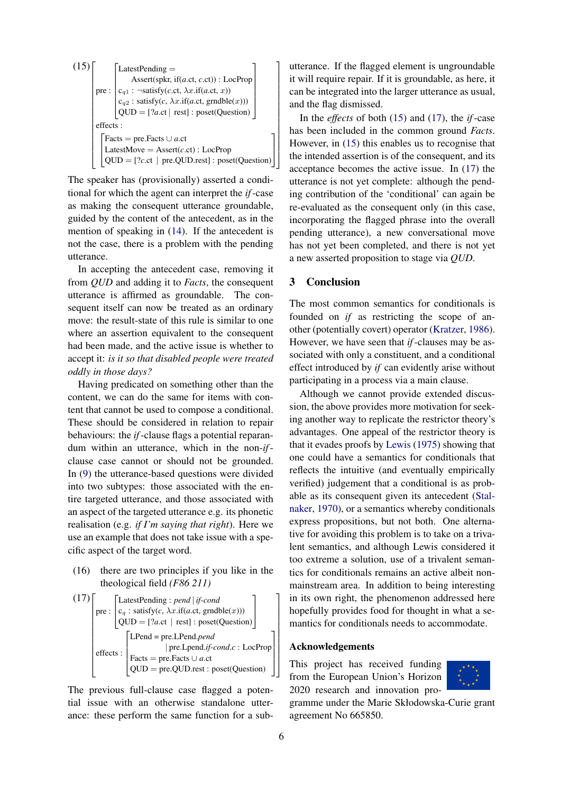(15)  
\n
$$
\text{LatestPending} = \text{Assert(spkr, if}(a.ct, c.ct)) : LocProp
$$
\n
$$
\text{pre}: \begin{bmatrix}\n c_{q1} : \neg \text{satisfy}(c.ct, \lambda x. \text{if}(a.ct, x)) \\
 c_{q2} : \text{satisfy}(c, \lambda x. \text{if}(a.ct, \text{grndble}(x))) \\
 \text{QUD} = [?a.ct \mid \text{rest}] : \text{poset}(\text{Question})\n\end{bmatrix}
$$
\n
$$
\text{effects}: \begin{bmatrix}\n \text{Facts} = \text{pre.Facts} \cup a.ct \\
 \text{LatestMove} = \text{Assert}(c.ct) : LocProp \\
 \text{QUD} = [?c.ct \mid \text{pre.QUD.rest}] : \text{poset}(\text{Question})\n\end{bmatrix}
$$

The speaker has (provisionally) asserted a conditional for which the agent can interpret the *if*-case as making the consequent utterance groundable, guided by the content of the antecedent, as in the mention of speaking in [\(14\)](#page-4-2). If the antecedent is not the case, there is a problem with the pending utterance.

In accepting the antecedent case, removing it from *QUD* and adding it to *Facts*, the consequent utterance is affirmed as groundable. The consequent itself can now be treated as an ordinary move: the result-state of this rule is similar to one where an assertion equivalent to the consequent had been made, and the active issue is whether to accept it: *is it so that disabled people were treated oddly in those days?*

Having predicated on something other than the content, we can do the same for items with content that cannot be used to compose a conditional. These should be considered in relation to repair behaviours: the *if*-clause flags a potential reparandum within an utterance, which in the non-*if*clause case cannot or should not be grounded. In [\(9\)](#page-3-5) the utterance-based questions were divided into two subtypes: those associated with the entire targeted utterance, and those associated with an aspect of the targeted utterance e.g. its phonetic realisation (e.g. *if I'm saying that right*). Here we use an example that does not take issue with a specific aspect of the target word.

(16) there are two principles if you like in the theological field *(F86 211)*

<span id="page-5-0"></span>(17)  
\n
$$
\begin{bmatrix}\n\text{LatestPending}: pend \mid \text{if } \text{cond} \\
c_q: \text{satisfy}(c, \lambda x.\text{if}(a.\text{ct}, \text{grndble}(x))) \\
\text{QUD} = [?a.\text{ct} \mid \text{rest}] : \text{poset}(\text{Question})\n\end{bmatrix}
$$
\n
$$
\text{effects}: \begin{bmatrix}\n\text{LPend} = \text{pre.LPend}, \text{pred} \mid \text{pred} \mid \text{cond} \text{of} \text{cond} \text{of} \text{cond} \text{of} \\
\text{Facts} = \text{pre.Facts} \cup a.\text{ct} \\
\text{QUD} = \text{pre.QUD} \text{rest}: \text{poset}(\text{Question})\n\end{bmatrix}
$$

The previous full-clause case flagged a potential issue with an otherwise standalone utterance: these perform the same function for a subutterance. If the flagged element is ungroundable it will require repair. If it is groundable, as here, it can be integrated into the larger utterance as usual, and the flag dismissed.

In the *effects* of both [\(15\)](#page-4-3) and [\(17\)](#page-5-0), the *if*-case has been included in the common ground *Facts*. However, in [\(15\)](#page-4-3) this enables us to recognise that the intended assertion is of the consequent, and its acceptance becomes the active issue. In [\(17\)](#page-5-0) the utterance is not yet complete: although the pending contribution of the 'conditional' can again be re-evaluated as the consequent only (in this case, incorporating the flagged phrase into the overall pending utterance), a new conversational move has not yet been completed, and there is not yet a new asserted proposition to stage via *QUD*.

# 3 Conclusion

The most common semantics for conditionals is founded on *if* as restricting the scope of another (potentially covert) operator [\(Kratzer,](#page-6-21) [1986\)](#page-6-21). However, we have seen that *if*-clauses may be associated with only a constituent, and a conditional effect introduced by *if* can evidently arise without participating in a process via a main clause.

Although we cannot provide extended discussion, the above provides more motivation for seeking another way to replicate the restrictor theory's advantages. One appeal of the restrictor theory is that it evades proofs by [Lewis](#page-6-22) [\(1975\)](#page-6-22) showing that one could have a semantics for conditionals that reflects the intuitive (and eventually empirically verified) judgement that a conditional is as probable as its consequent given its antecedent [\(Stal](#page-6-23)[naker,](#page-6-23) [1970\)](#page-6-23), or a semantics whereby conditionals express propositions, but not both. One alternative for avoiding this problem is to take on a trivalent semantics, and although Lewis considered it too extreme a solution, use of a trivalent semantics for conditionals remains an active albeit nonmainstream area. In addition to being interesting in its own right, the phenomenon addressed here hopefully provides food for thought in what a semantics for conditionals needs to accommodate.

#### Acknowledgements

This project has received funding from the European Union's Horizon 2020 research and innovation pro-



gramme under the Marie Skłodowska-Curie grant agreement No 665850.